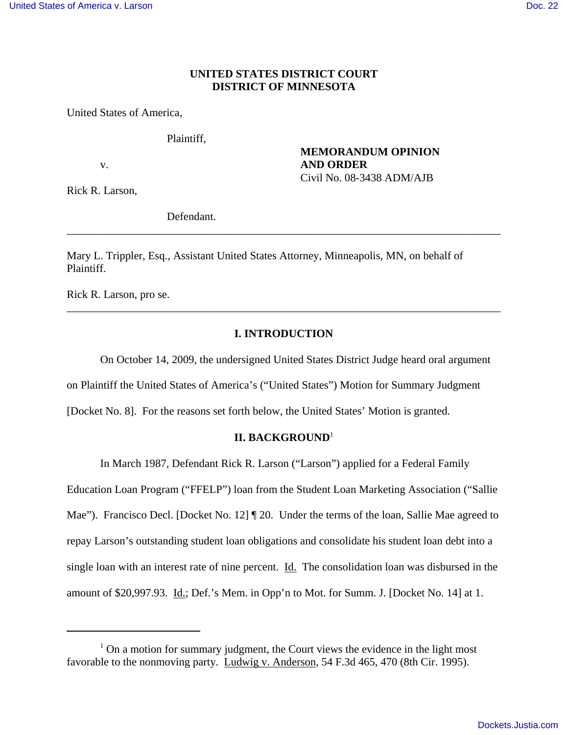# **UNITED STATES DISTRICT COURT DISTRICT OF MINNESOTA**

United States of America,

Plaintiff,

**MEMORANDUM OPINION** v. **AND ORDER** Civil No. 08-3438 ADM/AJB

Rick R. Larson,

Defendant.

Mary L. Trippler, Esq., Assistant United States Attorney, Minneapolis, MN, on behalf of Plaintiff.

Rick R. Larson, pro se.

# **I. INTRODUCTION**

\_\_\_\_\_\_\_\_\_\_\_\_\_\_\_\_\_\_\_\_\_\_\_\_\_\_\_\_\_\_\_\_\_\_\_\_\_\_\_\_\_\_\_\_\_\_\_\_\_\_\_\_\_\_\_\_\_\_\_\_\_\_\_\_\_\_\_\_\_\_\_\_\_\_\_\_\_\_

\_\_\_\_\_\_\_\_\_\_\_\_\_\_\_\_\_\_\_\_\_\_\_\_\_\_\_\_\_\_\_\_\_\_\_\_\_\_\_\_\_\_\_\_\_\_\_\_\_\_\_\_\_\_\_\_\_\_\_\_\_\_\_\_\_\_\_\_\_\_\_\_\_\_\_\_\_\_

On October 14, 2009, the undersigned United States District Judge heard oral argument

on Plaintiff the United States of America's ("United States") Motion for Summary Judgment

[Docket No. 8]. For the reasons set forth below, the United States' Motion is granted.

# **II. BACKGROUND**<sup>1</sup>

In March 1987, Defendant Rick R. Larson ("Larson") applied for a Federal Family Education Loan Program ("FFELP") loan from the Student Loan Marketing Association ("Sallie Mae"). Francisco Decl. [Docket No. 12] ¶ 20. Under the terms of the loan, Sallie Mae agreed to repay Larson's outstanding student loan obligations and consolidate his student loan debt into a single loan with an interest rate of nine percent. Id. The consolidation loan was disbursed in the amount of \$20,997.93. Id.; Def.'s Mem. in Opp'n to Mot. for Summ. J. [Docket No. 14] at 1.

 $<sup>1</sup>$  On a motion for summary judgment, the Court views the evidence in the light most</sup> favorable to the nonmoving party. Ludwig v. Anderson, 54 F.3d 465, 470 (8th Cir. 1995).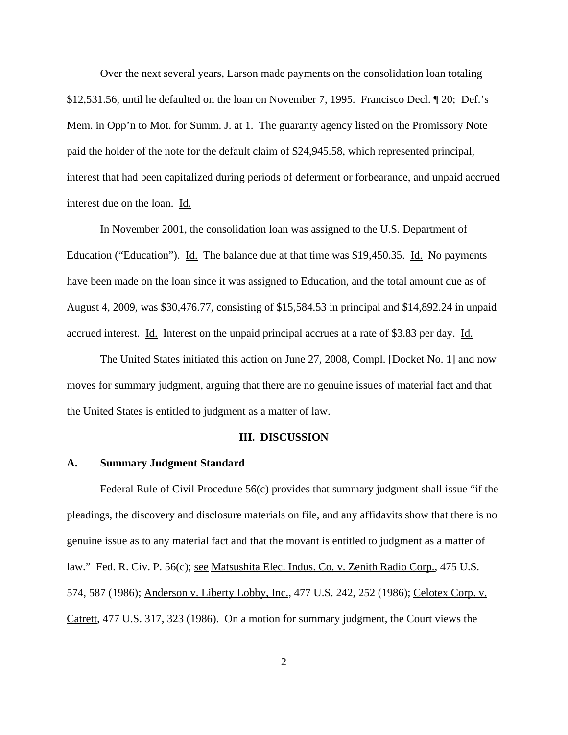Over the next several years, Larson made payments on the consolidation loan totaling \$12,531.56, until he defaulted on the loan on November 7, 1995. Francisco Decl. ¶ 20; Def.'s Mem. in Opp'n to Mot. for Summ. J. at 1. The guaranty agency listed on the Promissory Note paid the holder of the note for the default claim of \$24,945.58, which represented principal, interest that had been capitalized during periods of deferment or forbearance, and unpaid accrued interest due on the loan. Id.

In November 2001, the consolidation loan was assigned to the U.S. Department of Education ("Education"). Id. The balance due at that time was \$19,450.35. Id. No payments have been made on the loan since it was assigned to Education, and the total amount due as of August 4, 2009, was \$30,476.77, consisting of \$15,584.53 in principal and \$14,892.24 in unpaid accrued interest. Id. Interest on the unpaid principal accrues at a rate of \$3.83 per day. Id.

The United States initiated this action on June 27, 2008, Compl. [Docket No. 1] and now moves for summary judgment, arguing that there are no genuine issues of material fact and that the United States is entitled to judgment as a matter of law.

#### **III. DISCUSSION**

#### **A. Summary Judgment Standard**

Federal Rule of Civil Procedure 56(c) provides that summary judgment shall issue "if the pleadings, the discovery and disclosure materials on file, and any affidavits show that there is no genuine issue as to any material fact and that the movant is entitled to judgment as a matter of law." Fed. R. Civ. P. 56(c); see Matsushita Elec. Indus. Co. v. Zenith Radio Corp., 475 U.S. 574, 587 (1986); Anderson v. Liberty Lobby, Inc., 477 U.S. 242, 252 (1986); Celotex Corp. v. Catrett, 477 U.S. 317, 323 (1986). On a motion for summary judgment, the Court views the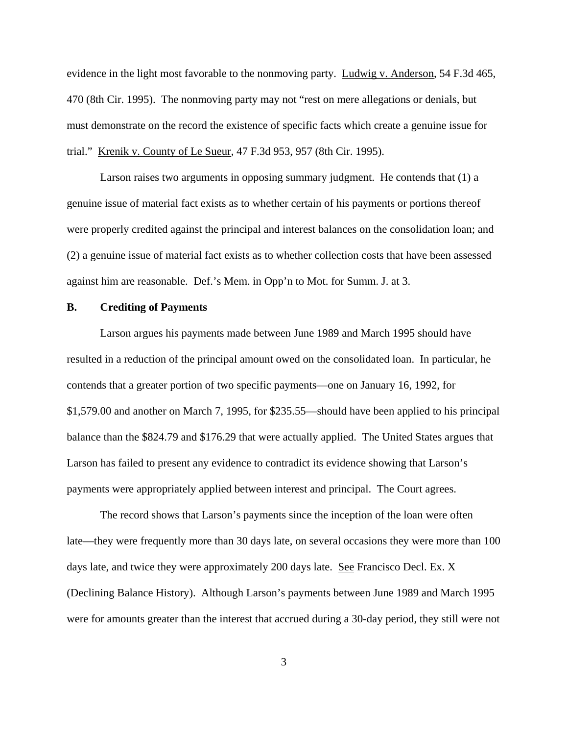evidence in the light most favorable to the nonmoving party. Ludwig v. Anderson, 54 F.3d 465, 470 (8th Cir. 1995). The nonmoving party may not "rest on mere allegations or denials, but must demonstrate on the record the existence of specific facts which create a genuine issue for trial." Krenik v. County of Le Sueur, 47 F.3d 953, 957 (8th Cir. 1995).

Larson raises two arguments in opposing summary judgment. He contends that (1) a genuine issue of material fact exists as to whether certain of his payments or portions thereof were properly credited against the principal and interest balances on the consolidation loan; and (2) a genuine issue of material fact exists as to whether collection costs that have been assessed against him are reasonable. Def.'s Mem. in Opp'n to Mot. for Summ. J. at 3.

#### **B. Crediting of Payments**

Larson argues his payments made between June 1989 and March 1995 should have resulted in a reduction of the principal amount owed on the consolidated loan. In particular, he contends that a greater portion of two specific payments—one on January 16, 1992, for \$1,579.00 and another on March 7, 1995, for \$235.55—should have been applied to his principal balance than the \$824.79 and \$176.29 that were actually applied. The United States argues that Larson has failed to present any evidence to contradict its evidence showing that Larson's payments were appropriately applied between interest and principal. The Court agrees.

The record shows that Larson's payments since the inception of the loan were often late—they were frequently more than 30 days late, on several occasions they were more than 100 days late, and twice they were approximately 200 days late. See Francisco Decl. Ex. X (Declining Balance History). Although Larson's payments between June 1989 and March 1995 were for amounts greater than the interest that accrued during a 30-day period, they still were not

3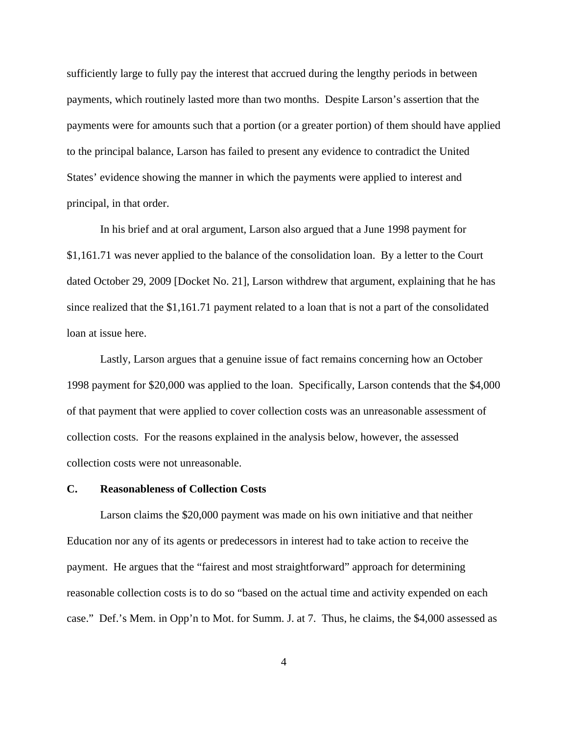sufficiently large to fully pay the interest that accrued during the lengthy periods in between payments, which routinely lasted more than two months. Despite Larson's assertion that the payments were for amounts such that a portion (or a greater portion) of them should have applied to the principal balance, Larson has failed to present any evidence to contradict the United States' evidence showing the manner in which the payments were applied to interest and principal, in that order.

In his brief and at oral argument, Larson also argued that a June 1998 payment for \$1,161.71 was never applied to the balance of the consolidation loan. By a letter to the Court dated October 29, 2009 [Docket No. 21], Larson withdrew that argument, explaining that he has since realized that the \$1,161.71 payment related to a loan that is not a part of the consolidated loan at issue here.

Lastly, Larson argues that a genuine issue of fact remains concerning how an October 1998 payment for \$20,000 was applied to the loan. Specifically, Larson contends that the \$4,000 of that payment that were applied to cover collection costs was an unreasonable assessment of collection costs. For the reasons explained in the analysis below, however, the assessed collection costs were not unreasonable.

#### **C. Reasonableness of Collection Costs**

Larson claims the \$20,000 payment was made on his own initiative and that neither Education nor any of its agents or predecessors in interest had to take action to receive the payment. He argues that the "fairest and most straightforward" approach for determining reasonable collection costs is to do so "based on the actual time and activity expended on each case." Def.'s Mem. in Opp'n to Mot. for Summ. J. at 7. Thus, he claims, the \$4,000 assessed as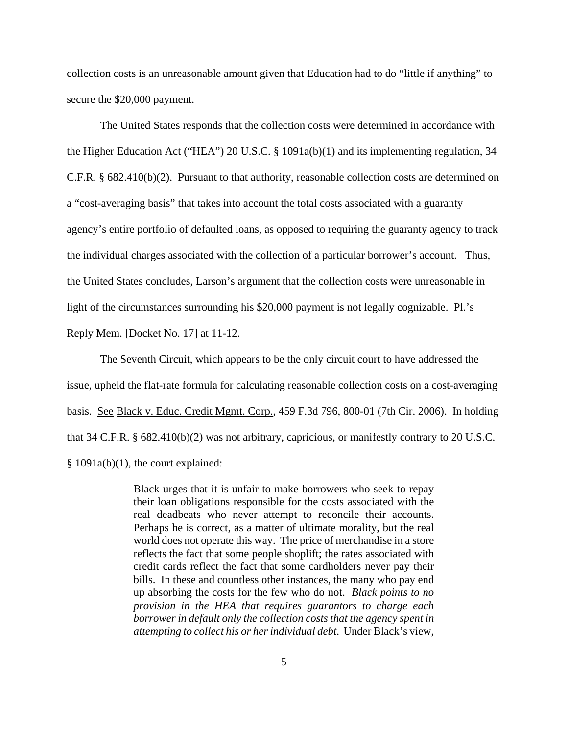collection costs is an unreasonable amount given that Education had to do "little if anything" to secure the \$20,000 payment.

The United States responds that the collection costs were determined in accordance with the Higher Education Act ("HEA") 20 U.S.C. § 1091a(b)(1) and its implementing regulation, 34 C.F.R. § 682.410(b)(2). Pursuant to that authority, reasonable collection costs are determined on a "cost-averaging basis" that takes into account the total costs associated with a guaranty agency's entire portfolio of defaulted loans, as opposed to requiring the guaranty agency to track the individual charges associated with the collection of a particular borrower's account. Thus, the United States concludes, Larson's argument that the collection costs were unreasonable in light of the circumstances surrounding his \$20,000 payment is not legally cognizable. Pl.'s Reply Mem. [Docket No. 17] at 11-12.

The Seventh Circuit, which appears to be the only circuit court to have addressed the issue, upheld the flat-rate formula for calculating reasonable collection costs on a cost-averaging basis. See Black v. Educ. Credit Mgmt. Corp., 459 F.3d 796, 800-01 (7th Cir. 2006). In holding that 34 C.F.R. § 682.410(b)(2) was not arbitrary, capricious, or manifestly contrary to 20 U.S.C. § 1091a(b)(1), the court explained:

> Black urges that it is unfair to make borrowers who seek to repay their loan obligations responsible for the costs associated with the real deadbeats who never attempt to reconcile their accounts. Perhaps he is correct, as a matter of ultimate morality, but the real world does not operate this way. The price of merchandise in a store reflects the fact that some people shoplift; the rates associated with credit cards reflect the fact that some cardholders never pay their bills. In these and countless other instances, the many who pay end up absorbing the costs for the few who do not. *Black points to no provision in the HEA that requires guarantors to charge each borrower in default only the collection costs that the agency spent in attempting to collect his or her individual debt*. Under Black's view,